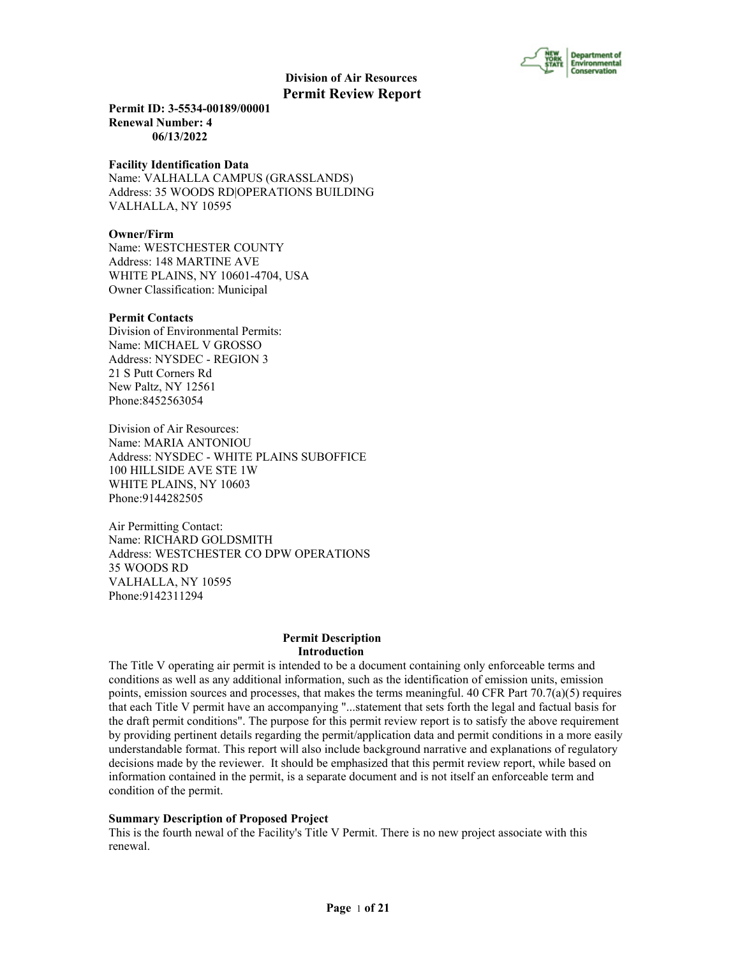

**Permit ID: 3-5534-00189/00001 Renewal Number: 4 06/13/2022**

#### **Facility Identification Data**

Name: VALHALLA CAMPUS (GRASSLANDS) Address: 35 WOODS RD|OPERATIONS BUILDING VALHALLA, NY 10595

# **Owner/Firm**

Name: WESTCHESTER COUNTY Address: 148 MARTINE AVE WHITE PLAINS, NY 10601-4704, USA Owner Classification: Municipal

#### **Permit Contacts**

Division of Environmental Permits: Name: MICHAEL V GROSSO Address: NYSDEC - REGION 3 21 S Putt Corners Rd New Paltz, NY 12561 Phone:8452563054

Division of Air Resources: Name: MARIA ANTONIOU Address: NYSDEC - WHITE PLAINS SUBOFFICE 100 HILLSIDE AVE STE 1W WHITE PLAINS, NY 10603 Phone:9144282505

Air Permitting Contact: Name: RICHARD GOLDSMITH Address: WESTCHESTER CO DPW OPERATIONS 35 WOODS RD VALHALLA, NY 10595 Phone:9142311294

#### **Permit Description Introduction**

The Title V operating air permit is intended to be a document containing only enforceable terms and conditions as well as any additional information, such as the identification of emission units, emission points, emission sources and processes, that makes the terms meaningful. 40 CFR Part  $70.7(a)(5)$  requires that each Title V permit have an accompanying "...statement that sets forth the legal and factual basis for the draft permit conditions". The purpose for this permit review report is to satisfy the above requirement by providing pertinent details regarding the permit/application data and permit conditions in a more easily understandable format. This report will also include background narrative and explanations of regulatory decisions made by the reviewer. It should be emphasized that this permit review report, while based on information contained in the permit, is a separate document and is not itself an enforceable term and condition of the permit.

#### **Summary Description of Proposed Project**

This is the fourth newal of the Facility's Title V Permit. There is no new project associate with this renewal.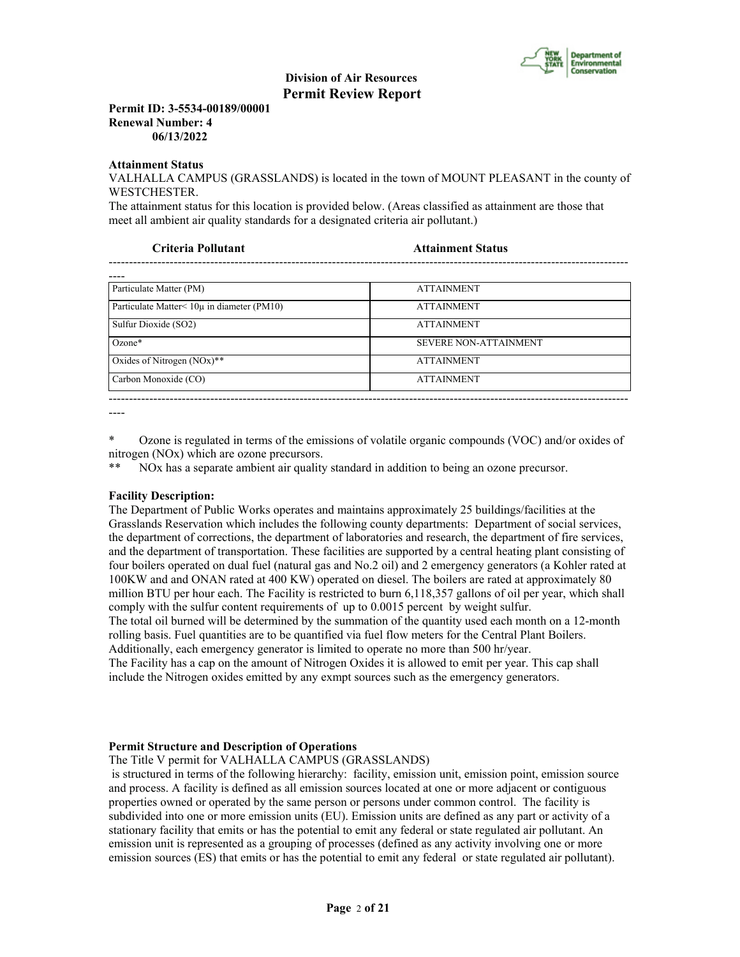

**Permit ID: 3-5534-00189/00001 Renewal Number: 4 06/13/2022**

#### **Attainment Status**

VALHALLA CAMPUS (GRASSLANDS) is located in the town of MOUNT PLEASANT in the county of WESTCHESTER.

The attainment status for this location is provided below. (Areas classified as attainment are those that meet all ambient air quality standards for a designated criteria air pollutant.)

**Criteria Pollutant Attainment Status**

| ----                                                                                                    |                        |
|---------------------------------------------------------------------------------------------------------|------------------------|
| $\mathbf{D}$ $\mathbf{A}$ $\mathbf{A}$ $\mathbf{A}$ $\mathbf{A}$ $\mathbf{A}$ $\mathbf{A}$ $\mathbf{A}$ | A THE A TAIN AT A LITE |

| Particulate Matter (PM)                            | <b>ATTAINMENT</b>            |
|----------------------------------------------------|------------------------------|
| Particulate Matter $\leq 10\mu$ in diameter (PM10) | <b>ATTAINMENT</b>            |
| Sulfur Dioxide (SO2)                               | <b>ATTAINMENT</b>            |
| $Ozone*$                                           | <b>SEVERE NON-ATTAINMENT</b> |
| Oxides of Nitrogen $(NOx)**$                       | <b>ATTAINMENT</b>            |
| Carbon Monoxide (CO)                               | <b>ATTAINMENT</b>            |
|                                                    |                              |

----

\* Ozone is regulated in terms of the emissions of volatile organic compounds (VOC) and/or oxides of nitrogen (NOx) which are ozone precursors.

\*\* NOx has a separate ambient air quality standard in addition to being an ozone precursor.

#### **Facility Description:**

The Department of Public Works operates and maintains approximately 25 buildings/facilities at the Grasslands Reservation which includes the following county departments: Department of social services, the department of corrections, the department of laboratories and research, the department of fire services, and the department of transportation. These facilities are supported by a central heating plant consisting of four boilers operated on dual fuel (natural gas and No.2 oil) and 2 emergency generators (a Kohler rated at 100KW and and ONAN rated at 400 KW) operated on diesel. The boilers are rated at approximately 80 million BTU per hour each. The Facility is restricted to burn 6,118,357 gallons of oil per year, which shall comply with the sulfur content requirements of up to 0.0015 percent by weight sulfur.

The total oil burned will be determined by the summation of the quantity used each month on a 12-month rolling basis. Fuel quantities are to be quantified via fuel flow meters for the Central Plant Boilers. Additionally, each emergency generator is limited to operate no more than 500 hr/year.

The Facility has a cap on the amount of Nitrogen Oxides it is allowed to emit per year. This cap shall include the Nitrogen oxides emitted by any exmpt sources such as the emergency generators.

#### **Permit Structure and Description of Operations**

The Title V permit for VALHALLA CAMPUS (GRASSLANDS)

 is structured in terms of the following hierarchy: facility, emission unit, emission point, emission source and process. A facility is defined as all emission sources located at one or more adjacent or contiguous properties owned or operated by the same person or persons under common control. The facility is subdivided into one or more emission units (EU). Emission units are defined as any part or activity of a stationary facility that emits or has the potential to emit any federal or state regulated air pollutant. An emission unit is represented as a grouping of processes (defined as any activity involving one or more emission sources (ES) that emits or has the potential to emit any federal or state regulated air pollutant).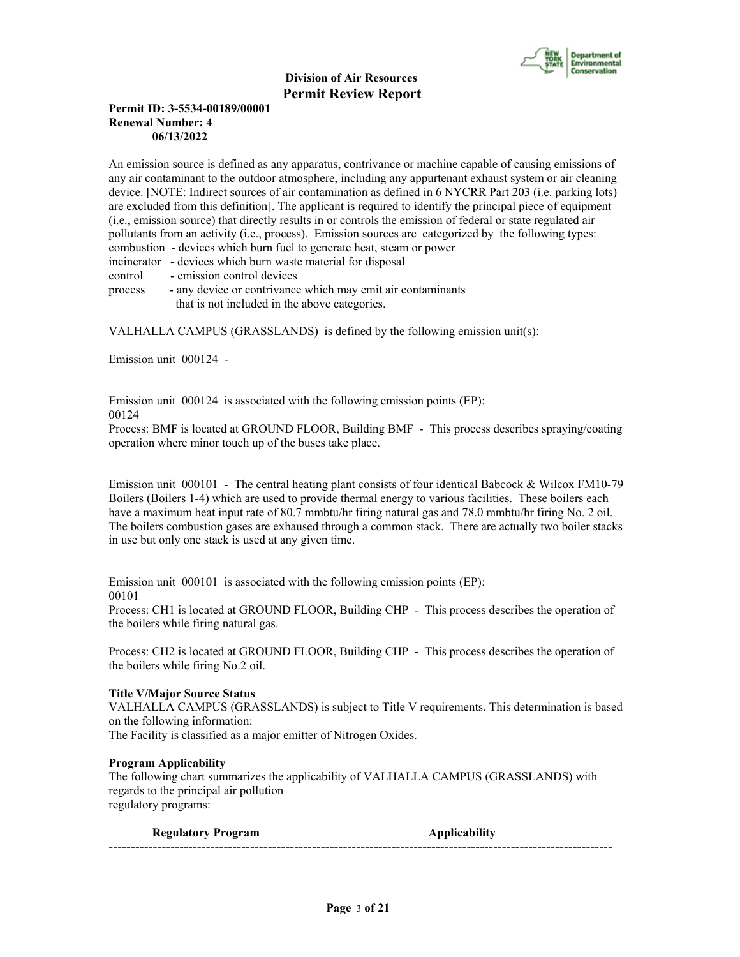

# **Permit ID: 3-5534-00189/00001 Renewal Number: 4 06/13/2022**

An emission source is defined as any apparatus, contrivance or machine capable of causing emissions of any air contaminant to the outdoor atmosphere, including any appurtenant exhaust system or air cleaning device. [NOTE: Indirect sources of air contamination as defined in 6 NYCRR Part 203 (i.e. parking lots) are excluded from this definition]. The applicant is required to identify the principal piece of equipment (i.e., emission source) that directly results in or controls the emission of federal or state regulated air pollutants from an activity (i.e., process). Emission sources are categorized by the following types: combustion - devices which burn fuel to generate heat, steam or power incinerator - devices which burn waste material for disposal

control - emission control devices

process - any device or contrivance which may emit air contaminants that is not included in the above categories.

VALHALLA CAMPUS (GRASSLANDS) is defined by the following emission unit(s):

Emission unit 000124 -

Emission unit 000124 is associated with the following emission points (EP): 00124

Process: BMF is located at GROUND FLOOR, Building BMF - This process describes spraying/coating operation where minor touch up of the buses take place.

Emission unit 000101 - The central heating plant consists of four identical Babcock & Wilcox FM10-79 Boilers (Boilers 1-4) which are used to provide thermal energy to various facilities. These boilers each have a maximum heat input rate of 80.7 mmbtu/hr firing natural gas and 78.0 mmbtu/hr firing No. 2 oil. The boilers combustion gases are exhaused through a common stack. There are actually two boiler stacks in use but only one stack is used at any given time.

Emission unit 000101 is associated with the following emission points (EP): 00101

Process: CH1 is located at GROUND FLOOR, Building CHP - This process describes the operation of the boilers while firing natural gas.

Process: CH2 is located at GROUND FLOOR, Building CHP - This process describes the operation of the boilers while firing No.2 oil.

#### **Title V/Major Source Status**

VALHALLA CAMPUS (GRASSLANDS) is subject to Title V requirements. This determination is based on the following information:

The Facility is classified as a major emitter of Nitrogen Oxides.

## **Program Applicability**

The following chart summarizes the applicability of VALHALLA CAMPUS (GRASSLANDS) with regards to the principal air pollution regulatory programs:

| <b>Regulatory Program</b> | <b>Applicability</b> |
|---------------------------|----------------------|
| -------                   |                      |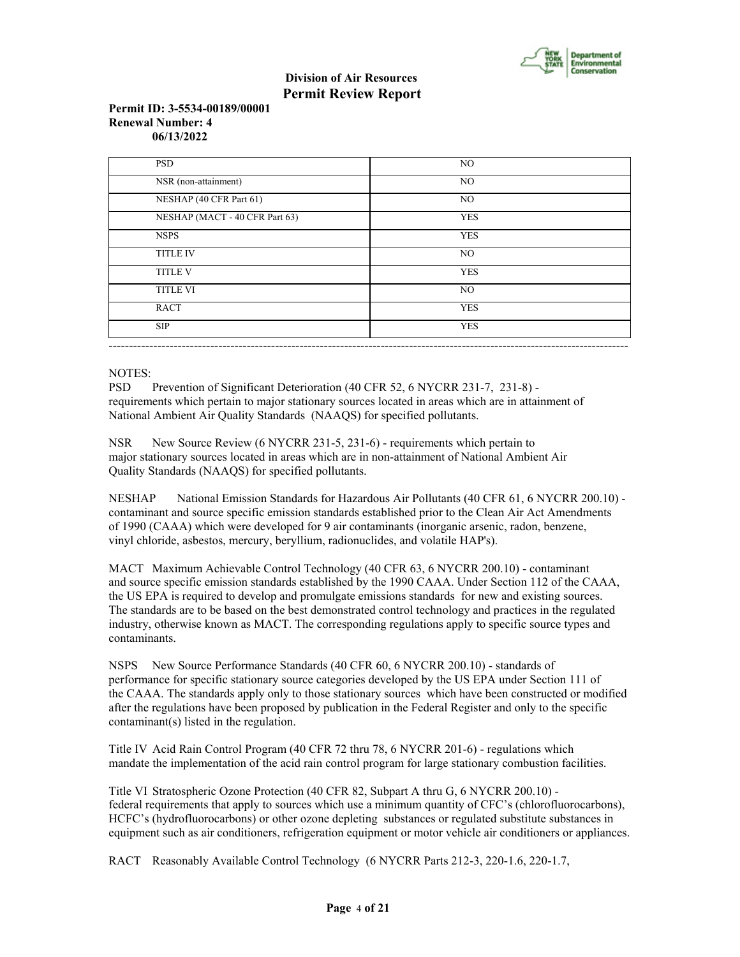

# **Permit ID: 3-5534-00189/00001 Renewal Number: 4 06/13/2022**

| <b>PSD</b>                     | NO.        |
|--------------------------------|------------|
| NSR (non-attainment)           | NO.        |
| NESHAP (40 CFR Part 61)        | NO.        |
| NESHAP (MACT - 40 CFR Part 63) | <b>YES</b> |
| <b>NSPS</b>                    | <b>YES</b> |
| <b>TITLE IV</b>                | NO.        |
| <b>TITLE V</b>                 | <b>YES</b> |
| <b>TITLE VI</b>                | NO.        |
| <b>RACT</b>                    | <b>YES</b> |
| <b>SIP</b>                     | <b>YES</b> |

# NOTES:

PSD Prevention of Significant Deterioration (40 CFR 52, 6 NYCRR 231-7, 231-8) requirements which pertain to major stationary sources located in areas which are in attainment of National Ambient Air Quality Standards (NAAQS) for specified pollutants.

NSR New Source Review (6 NYCRR 231-5, 231-6) - requirements which pertain to major stationary sources located in areas which are in non-attainment of National Ambient Air Quality Standards (NAAQS) for specified pollutants.

NESHAP National Emission Standards for Hazardous Air Pollutants (40 CFR 61, 6 NYCRR 200.10) contaminant and source specific emission standards established prior to the Clean Air Act Amendments of 1990 (CAAA) which were developed for 9 air contaminants (inorganic arsenic, radon, benzene, vinyl chloride, asbestos, mercury, beryllium, radionuclides, and volatile HAP's).

MACT Maximum Achievable Control Technology (40 CFR 63, 6 NYCRR 200.10) - contaminant and source specific emission standards established by the 1990 CAAA. Under Section 112 of the CAAA, the US EPA is required to develop and promulgate emissions standards for new and existing sources. The standards are to be based on the best demonstrated control technology and practices in the regulated industry, otherwise known as MACT. The corresponding regulations apply to specific source types and contaminants.

NSPS New Source Performance Standards (40 CFR 60, 6 NYCRR 200.10) - standards of performance for specific stationary source categories developed by the US EPA under Section 111 of the CAAA. The standards apply only to those stationary sources which have been constructed or modified after the regulations have been proposed by publication in the Federal Register and only to the specific contaminant(s) listed in the regulation.

Title IV Acid Rain Control Program (40 CFR 72 thru 78, 6 NYCRR 201-6) - regulations which mandate the implementation of the acid rain control program for large stationary combustion facilities.

Title VI Stratospheric Ozone Protection (40 CFR 82, Subpart A thru G, 6 NYCRR 200.10) federal requirements that apply to sources which use a minimum quantity of CFC's (chlorofluorocarbons), HCFC's (hydrofluorocarbons) or other ozone depleting substances or regulated substitute substances in equipment such as air conditioners, refrigeration equipment or motor vehicle air conditioners or appliances.

RACT Reasonably Available Control Technology (6 NYCRR Parts 212-3, 220-1.6, 220-1.7,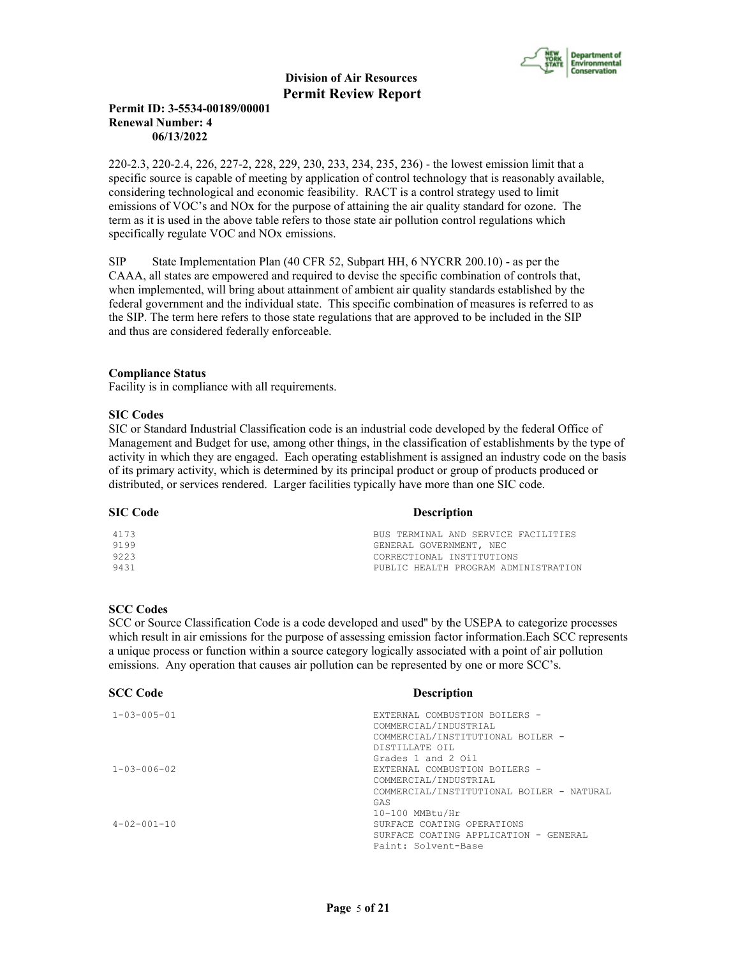

# **Permit ID: 3-5534-00189/00001 Renewal Number: 4 06/13/2022**

220-2.3, 220-2.4, 226, 227-2, 228, 229, 230, 233, 234, 235, 236) - the lowest emission limit that a specific source is capable of meeting by application of control technology that is reasonably available, considering technological and economic feasibility. RACT is a control strategy used to limit emissions of VOC's and NOx for the purpose of attaining the air quality standard for ozone. The term as it is used in the above table refers to those state air pollution control regulations which specifically regulate VOC and NOx emissions.

SIP State Implementation Plan (40 CFR 52, Subpart HH, 6 NYCRR 200.10) - as per the CAAA, all states are empowered and required to devise the specific combination of controls that, when implemented, will bring about attainment of ambient air quality standards established by the federal government and the individual state. This specific combination of measures is referred to as the SIP. The term here refers to those state regulations that are approved to be included in the SIP and thus are considered federally enforceable.

#### **Compliance Status**

Facility is in compliance with all requirements.

#### **SIC Codes**

SIC or Standard Industrial Classification code is an industrial code developed by the federal Office of Management and Budget for use, among other things, in the classification of establishments by the type of activity in which they are engaged. Each operating establishment is assigned an industry code on the basis of its primary activity, which is determined by its principal product or group of products produced or distributed, or services rendered. Larger facilities typically have more than one SIC code.

#### **SIC Code** Description

| 4173 | BUS TERMINAL AND SERVICE FACILITIES  |
|------|--------------------------------------|
| 9199 | GENERAL GOVERNMENT, NEC              |
| 9223 | CORRECTIONAL INSTITUTIONS            |
| 9431 | PUBLIC HEALTH PROGRAM ADMINISTRATION |

#### **SCC Codes**

SCC or Source Classification Code is a code developed and used'' by the USEPA to categorize processes which result in air emissions for the purpose of assessing emission factor information.Each SCC represents a unique process or function within a source category logically associated with a point of air pollution emissions. Any operation that causes air pollution can be represented by one or more SCC's.

| <b>SCC Code</b>        | <b>Description</b>                        |
|------------------------|-------------------------------------------|
| $1 - 0.3 - 0.05 - 0.1$ | EXTERNAL COMBUSTION BOILERS -             |
|                        | COMMERCIAL/INDUSTRIAL                     |
|                        | COMMERCIAL/INSTITUTIONAL BOILER -         |
|                        | DISTILLATE OIL                            |
|                        | Grades 1 and 2 Oil                        |
| $1 - 0.3 - 0.06 - 0.2$ | EXTERNAL COMBUSTION BOILERS -             |
|                        | COMMERCIAL/INDUSTRIAL                     |
|                        | COMMERCIAL/INSTITUTIONAL BOILER - NATURAL |
|                        | GAS                                       |
|                        | 10-100 MMBtu/Hr                           |
| $4 - 02 - 001 - 10$    | SURFACE COATING OPERATIONS                |
|                        | SURFACE COATING APPLICATION - GENERAL     |
|                        | Paint: Solvent-Base                       |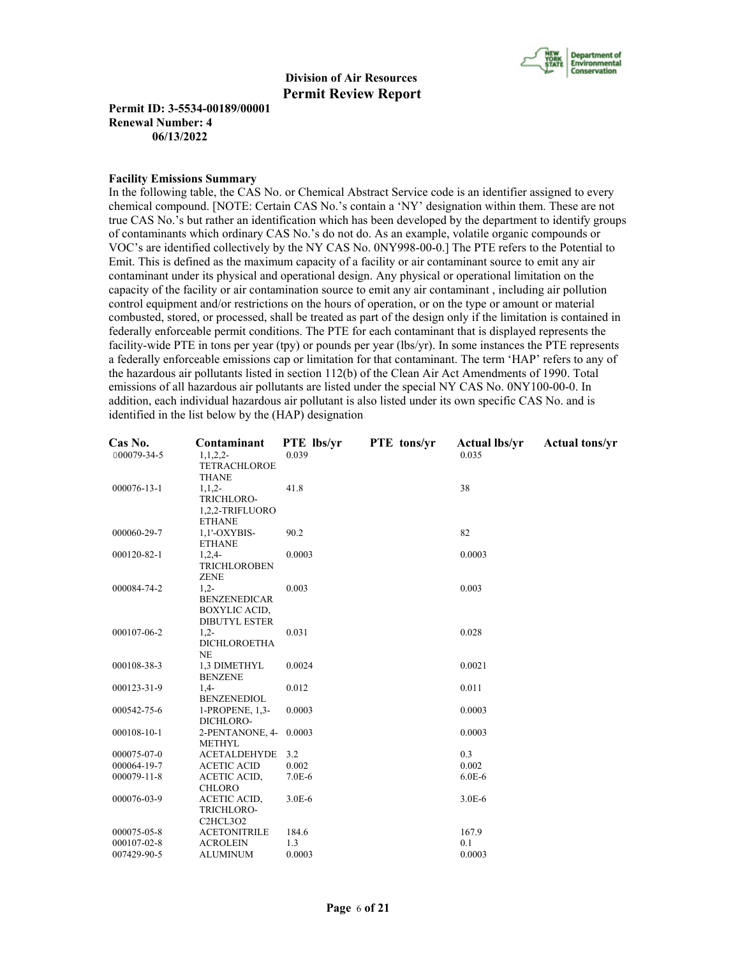

**Permit ID: 3-5534-00189/00001 Renewal Number: 4 06/13/2022**

#### **Facility Emissions Summary**

In the following table, the CAS No. or Chemical Abstract Service code is an identifier assigned to every chemical compound. [NOTE: Certain CAS No.'s contain a 'NY' designation within them. These are not true CAS No.'s but rather an identification which has been developed by the department to identify groups of contaminants which ordinary CAS No.'s do not do. As an example, volatile organic compounds or VOC's are identified collectively by the NY CAS No. 0NY998-00-0.] The PTE refers to the Potential to Emit. This is defined as the maximum capacity of a facility or air contaminant source to emit any air contaminant under its physical and operational design. Any physical or operational limitation on the capacity of the facility or air contamination source to emit any air contaminant , including air pollution control equipment and/or restrictions on the hours of operation, or on the type or amount or material combusted, stored, or processed, shall be treated as part of the design only if the limitation is contained in federally enforceable permit conditions. The PTE for each contaminant that is displayed represents the facility-wide PTE in tons per year (tpy) or pounds per year (lbs/yr). In some instances the PTE represents a federally enforceable emissions cap or limitation for that contaminant. The term 'HAP' refers to any of the hazardous air pollutants listed in section 112(b) of the Clean Air Act Amendments of 1990. Total emissions of all hazardous air pollutants are listed under the special NY CAS No. 0NY100-00-0. In addition, each individual hazardous air pollutant is also listed under its own specific CAS No. and is identified in the list below by the (HAP) designation.

| Cas No.           | Contaminant                                    | <b>PTE</b> lbs/yr | <b>PTE</b> tons/yr | <b>Actual lbs/yr</b> | <b>Actual tons/yr</b> |
|-------------------|------------------------------------------------|-------------------|--------------------|----------------------|-----------------------|
| 000079-34-5       | 1, 1, 2, 2                                     | 0.039             |                    | 0.035                |                       |
|                   | <b>TETRACHLOROE</b>                            |                   |                    |                      |                       |
|                   | <b>THANE</b>                                   |                   |                    |                      |                       |
| 000076-13-1       | $1, 1, 2-$                                     | 41.8              |                    | 38                   |                       |
|                   | TRICHLORO-                                     |                   |                    |                      |                       |
|                   | 1,2,2-TRIFLUORO                                |                   |                    |                      |                       |
|                   | <b>ETHANE</b>                                  |                   |                    |                      |                       |
| 000060-29-7       | 1,1'-OXYBIS-                                   | 90.2              |                    | 82                   |                       |
|                   | <b>ETHANE</b>                                  |                   |                    |                      |                       |
| 000120-82-1       | $1,2,4-$                                       | 0.0003            |                    | 0.0003               |                       |
|                   | <b>TRICHLOROBEN</b>                            |                   |                    |                      |                       |
|                   | <b>ZENE</b>                                    |                   |                    |                      |                       |
| 000084-74-2       | $1,2-$                                         | 0.003             |                    | 0.003                |                       |
|                   | <b>BENZENEDICAR</b>                            |                   |                    |                      |                       |
|                   | <b>BOXYLIC ACID,</b>                           |                   |                    |                      |                       |
|                   | <b>DIBUTYL ESTER</b>                           |                   |                    |                      |                       |
| 000107-06-2       | $1,2-$                                         | 0.031             |                    | 0.028                |                       |
|                   | <b>DICHLOROETHA</b>                            |                   |                    |                      |                       |
|                   | <b>NE</b>                                      |                   |                    |                      |                       |
| 000108-38-3       | 1,3 DIMETHYL                                   | 0.0024            |                    | 0.0021               |                       |
|                   | <b>BENZENE</b>                                 |                   |                    |                      |                       |
| 000123-31-9       | $1,4-$                                         | 0.012             |                    | 0.011                |                       |
|                   | <b>BENZENEDIOL</b>                             |                   |                    |                      |                       |
| 000542-75-6       | 1-PROPENE, 1,3-                                | 0.0003            |                    | 0.0003               |                       |
|                   | DICHLORO-                                      |                   |                    |                      |                       |
| 000108-10-1       | 2-PENTANONE, 4- 0.0003<br><b>METHYL</b>        |                   |                    | 0.0003               |                       |
| 000075-07-0       | <b>ACETALDEHYDE</b>                            | 3.2               |                    | 0.3                  |                       |
| 000064-19-7       | <b>ACETIC ACID</b>                             | 0.002             |                    | 0.002                |                       |
| $000079 - 11 - 8$ | <b>ACETIC ACID,</b>                            | $7.0E-6$          |                    | $6.0E-6$             |                       |
|                   | <b>CHLORO</b>                                  |                   |                    |                      |                       |
| 000076-03-9       | ACETIC ACID,                                   | $3.0E-6$          |                    | $3.0E-6$             |                       |
|                   | TRICHLORO-                                     |                   |                    |                      |                       |
|                   | C <sub>2</sub> HCL <sub>3</sub> O <sub>2</sub> |                   |                    |                      |                       |
| 000075-05-8       | <b>ACETONITRILE</b>                            | 184.6             |                    | 167.9                |                       |
| 000107-02-8       | <b>ACROLEIN</b>                                | 1.3               |                    | 0.1                  |                       |
| 007429-90-5       | <b>ALUMINUM</b>                                | 0.0003            |                    | 0.0003               |                       |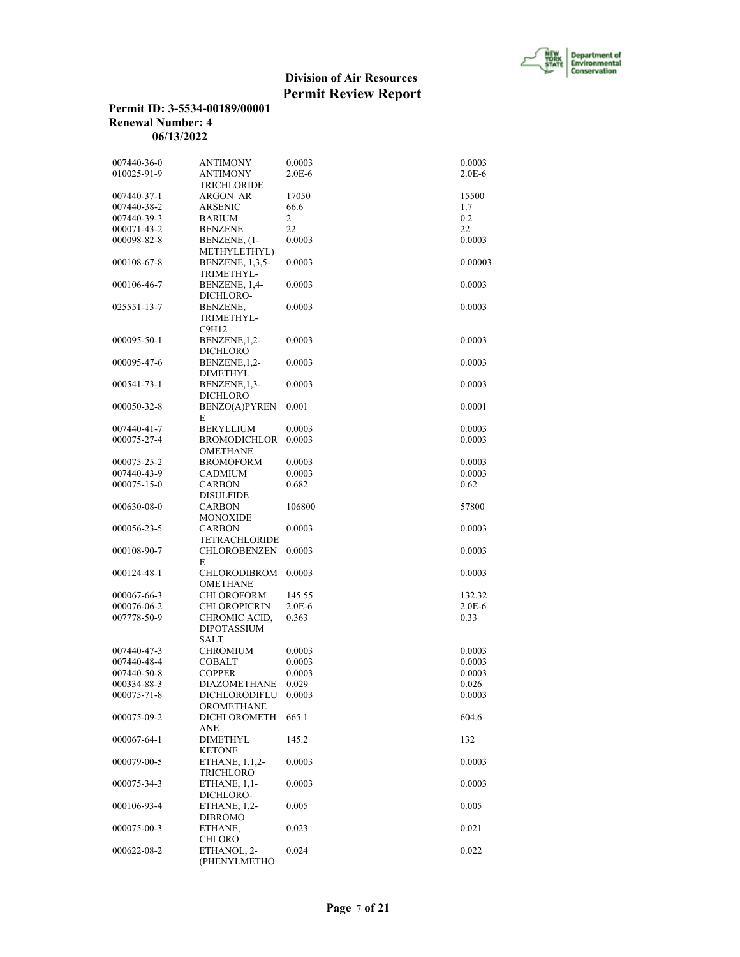

# **Permit ID: 3-5534-00189/00001 Renewal Number: 4 06/13/2022**

| 007440-36-0 | <b>ANTIMONY</b>      | 0.0003     | 0.0003   |
|-------------|----------------------|------------|----------|
| 010025-91-9 | <b>ANTIMONY</b>      | $2.0E-6$   | $2.0E-6$ |
|             | <b>TRICHLORIDE</b>   |            |          |
| 007440-37-1 | ARGON AR             | 17050      | 15500    |
| 007440-38-2 | <b>ARSENIC</b>       | 66.6       | 1.7      |
| 007440-39-3 | <b>BARIUM</b>        | 2          | 0.2      |
| 000071-43-2 | <b>BENZENE</b>       | 22         | 22       |
| 000098-82-8 | BENZENE, (1-         | 0.0003     | 0.0003   |
|             | METHYLETHYL)         |            |          |
| 000108-67-8 | BENZENE, 1,3,5-      | 0.0003     | 0.00003  |
|             | TRIMETHYL-           |            |          |
| 000106-46-7 | BENZENE, 1,4-        | 0.0003     | 0.0003   |
|             | DICHLORO-            |            |          |
| 025551-13-7 | BENZENE,             | 0.0003     | 0.0003   |
|             | TRIMETHYL-           |            |          |
|             |                      |            |          |
|             | C9H12                |            |          |
| 000095-50-1 | BENZENE, 1,2-        | 0.0003     | 0.0003   |
|             | <b>DICHLORO</b>      |            |          |
| 000095-47-6 | BENZENE, 1, 2-       | 0.0003     | 0.0003   |
|             | <b>DIMETHYL</b>      |            |          |
| 000541-73-1 | BENZENE, 1, 3-       | 0.0003     | 0.0003   |
|             | <b>DICHLORO</b>      |            |          |
| 000050-32-8 | <b>BENZO(A)PYREN</b> | 0.001      | 0.0001   |
|             | E                    |            |          |
| 007440-41-7 | <b>BERYLLIUM</b>     | 0.0003     | 0.0003   |
| 000075-27-4 | <b>BROMODICHLOR</b>  | 0.0003     | 0.0003   |
|             | <b>OMETHANE</b>      |            |          |
| 000075-25-2 | <b>BROMOFORM</b>     | 0.0003     | 0.0003   |
| 007440-43-9 | <b>CADMIUM</b>       | 0.0003     | 0.0003   |
| 000075-15-0 | <b>CARBON</b>        | 0.682      | 0.62     |
|             | <b>DISULFIDE</b>     |            |          |
| 000630-08-0 | <b>CARBON</b>        | 106800     | 57800    |
|             | <b>MONOXIDE</b>      |            |          |
| 000056-23-5 | <b>CARBON</b>        | 0.0003     | 0.0003   |
|             | <b>TETRACHLORIDE</b> |            |          |
| 000108-90-7 | <b>CHLOROBENZEN</b>  | 0.0003     | 0.0003   |
|             | E                    |            |          |
| 000124-48-1 | CHLORODIBROM         | 0.0003     | 0.0003   |
|             | <b>OMETHANE</b>      |            |          |
| 000067-66-3 | CHLOROFORM           | 145.55     | 132.32   |
| 000076-06-2 | <b>CHLOROPICRIN</b>  | $2.0E - 6$ | $2.0E-6$ |
| 007778-50-9 | CHROMIC ACID,        | 0.363      | 0.33     |
|             | <b>DIPOTASSIUM</b>   |            |          |
|             | <b>SALT</b>          |            |          |
| 007440-47-3 | <b>CHROMIUM</b>      | 0.0003     | 0.0003   |
| 007440-48-4 | <b>COBALT</b>        | 0.0003     | 0.0003   |
|             | <b>COPPER</b>        | 0.0003     | 0.0003   |
| 007440-50-8 |                      |            |          |
| 000334-88-3 | <b>DIAZOMETHANE</b>  | 0.029      | 0.026    |
| 000075-71-8 | DICHLORODIFLU        | 0.0003     | 0.0003   |
|             | <b>OROMETHANE</b>    |            |          |
| 000075-09-2 | <b>DICHLOROMETH</b>  | 665.1      | 604.6    |
|             | ANE                  |            |          |
| 000067-64-1 | <b>DIMETHYL</b>      | 145.2      | 132      |
|             | <b>KETONE</b>        |            |          |
| 000079-00-5 | ETHANE, 1,1,2-       | 0.0003     | 0.0003   |
|             | TRICHLORO            |            |          |
| 000075-34-3 | ETHANE, $1,1$ -      | 0.0003     | 0.0003   |
|             | DICHLORO-            |            |          |
| 000106-93-4 | ETHANE, 1,2-         | 0.005      | 0.005    |
|             | DIBROMO              |            |          |
| 000075-00-3 | ETHANE,              | 0.023      | 0.021    |
|             | <b>CHLORO</b>        |            |          |
| 000622-08-2 | ETHANOL, 2-          | 0.024      | 0.022    |
|             | (PHENYLMETHO         |            |          |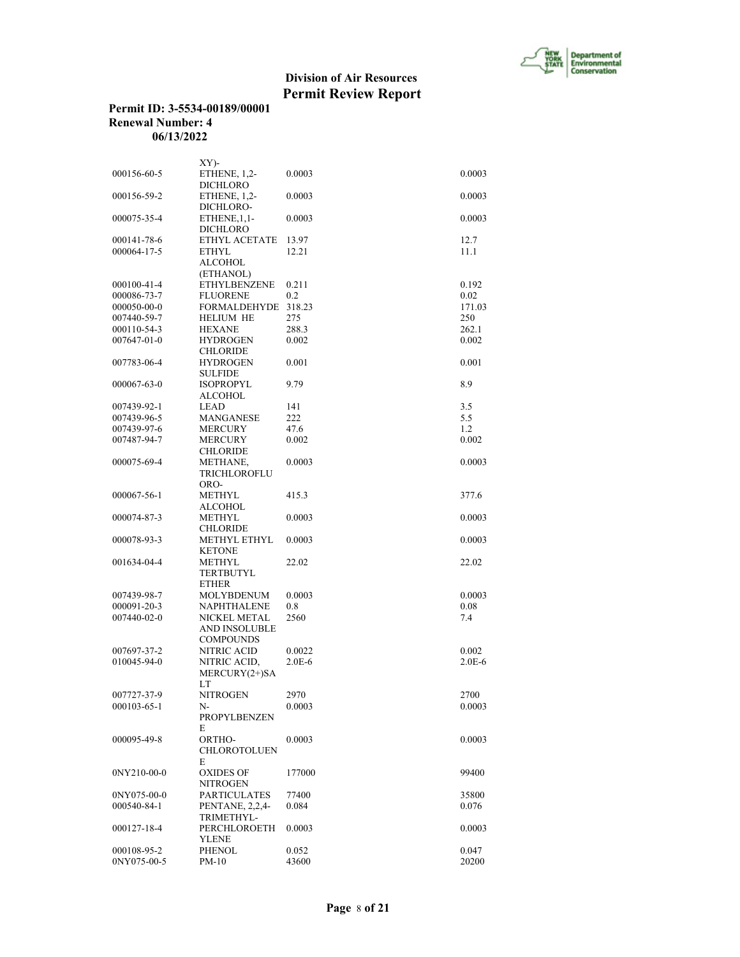

# **Permit ID: 3-5534-00189/00001 Renewal Number: 4 06/13/2022**

|             | $XY$ )-                     |          |            |
|-------------|-----------------------------|----------|------------|
| 000156-60-5 | ETHENE, 1,2-<br>DICHLORO    | 0.0003   | 0.0003     |
| 000156-59-2 | ETHENE, 1,2-<br>DICHLORO-   | 0.0003   | 0.0003     |
| 000075-35-4 | ETHENE, 1, 1-<br>DICHLORO   | 0.0003   | 0.0003     |
| 000141-78-6 | ETHYL ACETATE               | 13.97    | 12.7       |
| 000064-17-5 | <b>ETHYL</b>                | 12.21    | 11.1       |
|             | <b>ALCOHOL</b><br>(ETHANOL) |          |            |
| 000100-41-4 | <b>ETHYLBENZENE</b>         | 0.211    | 0.192      |
| 000086-73-7 | FLUORENE                    | 0.2      | 0.02       |
| 000050-00-0 | <b>FORMALDEHYDE</b>         | 318.23   | 171.03     |
| 007440-59-7 | <b>HELIUM HE</b>            | 275      | 250        |
| 000110-54-3 | <b>HEXANE</b>               | 288.3    | 262.1      |
| 007647-01-0 | <b>HYDROGEN</b>             | 0.002    | 0.002      |
|             |                             |          |            |
|             | <b>CHLORIDE</b>             |          |            |
| 007783-06-4 | <b>HYDROGEN</b>             | 0.001    | 0.001      |
|             | <b>SULFIDE</b>              |          |            |
| 000067-63-0 | <b>ISOPROPYL</b>            | 9.79     | 8.9        |
|             | <b>ALCOHOL</b>              |          |            |
| 007439-92-1 | LEAD                        | 141      | 3.5        |
| 007439-96-5 | <b>MANGANESE</b>            | 222      | 5.5        |
| 007439-97-6 | <b>MERCURY</b>              | 47.6     | 1.2        |
| 007487-94-7 | <b>MERCURY</b>              | 0.002    | 0.002      |
|             | <b>CHLORIDE</b>             |          |            |
| 000075-69-4 | METHANE,                    | 0.0003   | 0.0003     |
|             | TRICHLOROFLU                |          |            |
|             | ORO-                        |          |            |
|             | METHYL                      | 415.3    |            |
| 000067-56-1 |                             |          | 377.6      |
|             | <b>ALCOHOL</b>              |          |            |
| 000074-87-3 | <b>METHYL</b>               | 0.0003   | 0.0003     |
|             | <b>CHLORIDE</b>             |          |            |
| 000078-93-3 | METHYL ETHYL                | 0.0003   | 0.0003     |
|             | <b>KETONE</b>               |          |            |
| 001634-04-4 | <b>METHYL</b>               | 22.02    | 22.02      |
|             | TERTBUTYL                   |          |            |
|             | <b>ETHER</b>                |          |            |
| 007439-98-7 | MOLYBDENUM                  | 0.0003   | 0.0003     |
| 000091-20-3 | NAPHTHALENE                 | 0.8      | 0.08       |
| 007440-02-0 | NICKEL METAL                | 2560     | 7.4        |
|             | <b>AND INSOLUBLE</b>        |          |            |
|             | <b>COMPOUNDS</b>            |          |            |
| 007697-37-2 | <b>NITRIC ACID</b>          | 0.0022   | 0.002      |
| 010045-94-0 | NITRIC ACID,                | $2.0E-6$ | $2.0E - 6$ |
|             | MERCURY(2+)SA               |          |            |
|             |                             |          |            |
|             | LT                          |          |            |
| 007727-37-9 | NITROGEN                    | 2970     | 2700       |
| 000103-65-1 | N-                          | 0.0003   | 0.0003     |
|             | <b>PROPYLBENZEN</b>         |          |            |
|             | E                           |          |            |
| 000095-49-8 | ORTHO-                      | 0.0003   | 0.0003     |
|             | <b>CHLOROTOLUEN</b>         |          |            |
|             | E                           |          |            |
| 0NY210-00-0 | <b>OXIDES OF</b>            | 177000   | 99400      |
|             | NITROGEN                    |          |            |
| 0NY075-00-0 | <b>PARTICULATES</b>         | 77400    | 35800      |
| 000540-84-1 | PENTANE, 2,2,4-             | 0.084    | 0.076      |
|             | TRIMETHYL-                  |          |            |
| 000127-18-4 | PERCHLOROETH                | 0.0003   | 0.0003     |
|             | <b>YLENE</b>                |          |            |
|             |                             |          |            |
| 000108-95-2 | PHENOL                      | 0.052    | 0.047      |
| 0NY075-00-5 | $PM-10$                     | 43600    | 20200      |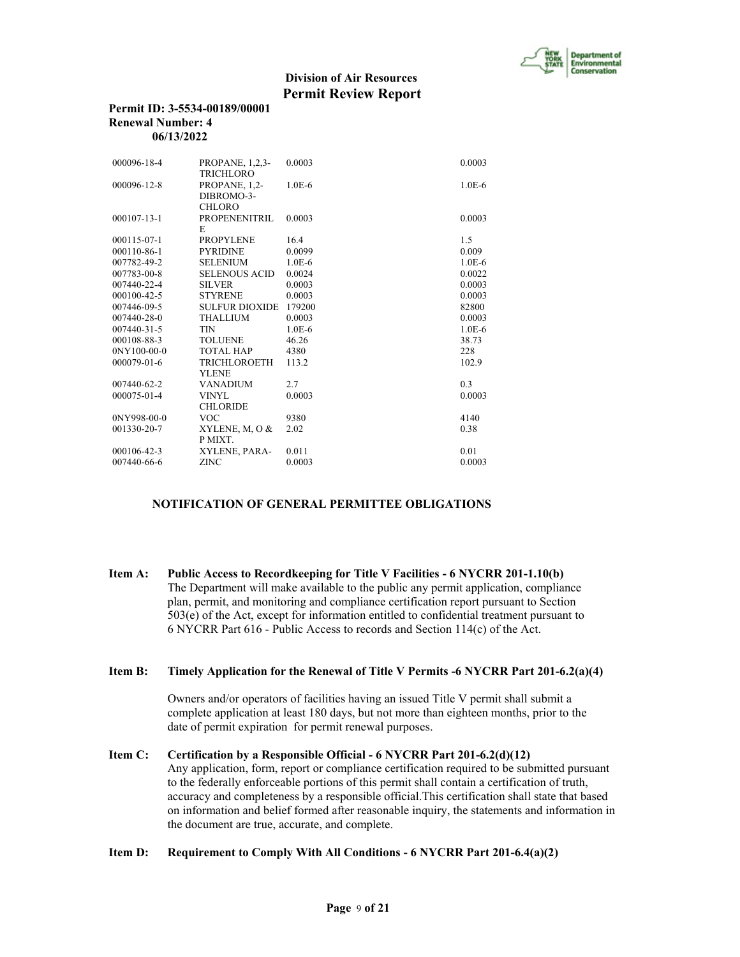

| Permit ID: 3-5534-00189/00001 |
|-------------------------------|
| Renewal Number: 4             |
| 06/13/2022                    |

| 000096-18-4       | <b>PROPANE, 1,2,3-</b> | 0.0003   | 0.0003   |
|-------------------|------------------------|----------|----------|
|                   | <b>TRICHLORO</b>       |          |          |
| 000096-12-8       | PROPANE, 1,2-          | $1.0E-6$ | $1.0E-6$ |
|                   | DIBROMO-3-             |          |          |
|                   | <b>CHLORO</b>          |          |          |
| $000107 - 13 - 1$ | PROPENENITRIL          | 0.0003   | 0.0003   |
|                   | E                      |          |          |
| $000115 - 07 - 1$ | <b>PROPYLENE</b>       | 16.4     | 1.5      |
| 000110-86-1       | <b>PYRIDINE</b>        | 0.0099   | 0.009    |
| 007782-49-2       | <b>SELENIUM</b>        | $1.0E-6$ | $1.0E-6$ |
| 007783-00-8       | <b>SELENOUS ACID</b>   | 0.0024   | 0.0022   |
| 007440-22-4       | <b>SILVER</b>          | 0.0003   | 0.0003   |
| 000100-42-5       | <b>STYRENE</b>         | 0.0003   | 0.0003   |
| 007446-09-5       | <b>SULFUR DIOXIDE</b>  | 179200   | 82800    |
| $007440 - 28 - 0$ | <b>THALLIUM</b>        | 0.0003   | 0.0003   |
| $007440 - 31 - 5$ | <b>TIN</b>             | $1.0E-6$ | $1.0E-6$ |
| 000108-88-3       | <b>TOLUENE</b>         | 46.26    | 38.73    |
| 0NY100-00-0       | <b>TOTAL HAP</b>       | 4380     | 228      |
| $000079 - 01 - 6$ | <b>TRICHLOROETH</b>    | 113.2    | 102.9    |
|                   | <b>YLENE</b>           |          |          |
| $007440 - 62 - 2$ | <b>VANADIUM</b>        | 2.7      | 0.3      |
| 000075-01-4       | <b>VINYL</b>           | 0.0003   | 0.0003   |
|                   | <b>CHLORIDE</b>        |          |          |
| $0NY998-00-0$     | <b>VOC</b>             | 9380     | 4140     |
| 001330-20-7       | XYLENE, M, O &         | 2.02     | 0.38     |
|                   | P MIXT.                |          |          |
| 000106-42-3       | XYLENE, PARA-          | 0.011    | 0.01     |
| 007440-66-6       | <b>ZINC</b>            | 0.0003   | 0.0003   |

#### **NOTIFICATION OF GENERAL PERMITTEE OBLIGATIONS**

**Item A: Public Access to Recordkeeping for Title V Facilities - 6 NYCRR 201-1.10(b)** The Department will make available to the public any permit application, compliance plan, permit, and monitoring and compliance certification report pursuant to Section 503(e) of the Act, except for information entitled to confidential treatment pursuant to 6 NYCRR Part 616 - Public Access to records and Section 114(c) of the Act.

# **Item B: Timely Application for the Renewal of Title V Permits -6 NYCRR Part 201-6.2(a)(4)**

 Owners and/or operators of facilities having an issued Title V permit shall submit a complete application at least 180 days, but not more than eighteen months, prior to the date of permit expiration for permit renewal purposes.

# **Item C: Certification by a Responsible Official - 6 NYCRR Part 201-6.2(d)(12)**

 Any application, form, report or compliance certification required to be submitted pursuant to the federally enforceable portions of this permit shall contain a certification of truth, accuracy and completeness by a responsible official.This certification shall state that based on information and belief formed after reasonable inquiry, the statements and information in the document are true, accurate, and complete.

# **Item D: Requirement to Comply With All Conditions - 6 NYCRR Part 201-6.4(a)(2)**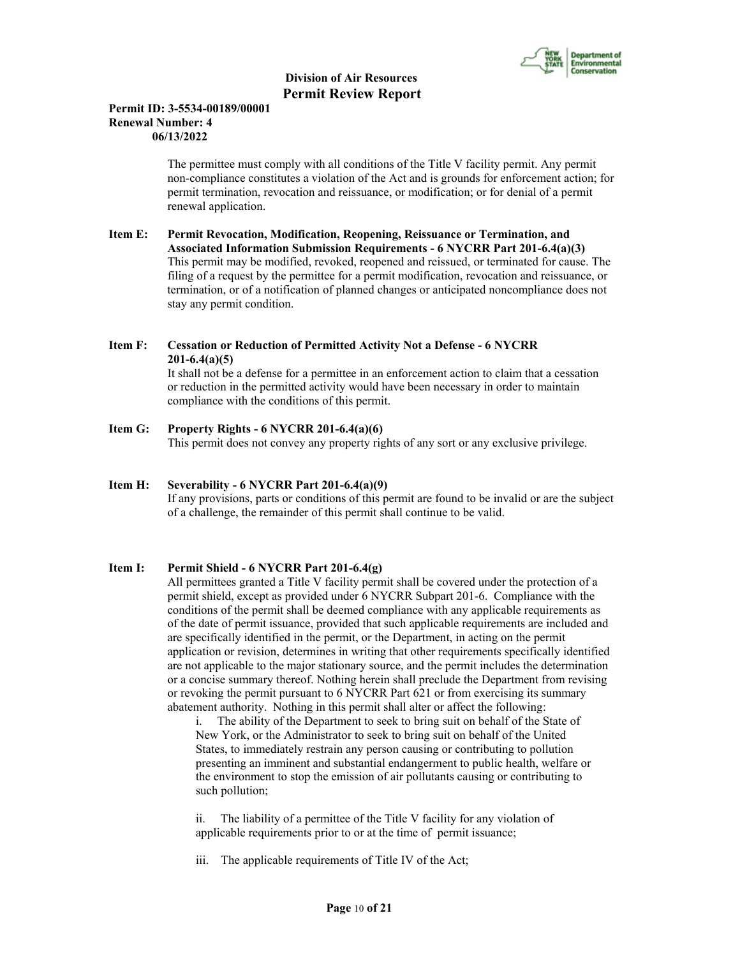

### **Permit ID: 3-5534-00189/00001 Renewal Number: 4 06/13/2022**

 The permittee must comply with all conditions of the Title V facility permit. Any permit non-compliance constitutes a violation of the Act and is grounds for enforcement action; for permit termination, revocation and reissuance, or modification; or for denial of a permit renewal application.

**Item E: Permit Revocation, Modification, Reopening, Reissuance or Termination, and Associated Information Submission Requirements - 6 NYCRR Part 201-6.4(a)(3)** This permit may be modified, revoked, reopened and reissued, or terminated for cause. The filing of a request by the permittee for a permit modification, revocation and reissuance, or termination, or of a notification of planned changes or anticipated noncompliance does not stay any permit condition.

# **Item F: Cessation or Reduction of Permitted Activity Not a Defense - 6 NYCRR 201-6.4(a)(5)**

 It shall not be a defense for a permittee in an enforcement action to claim that a cessation or reduction in the permitted activity would have been necessary in order to maintain compliance with the conditions of this permit.

# **Item G: Property Rights - 6 NYCRR 201-6.4(a)(6)**

This permit does not convey any property rights of any sort or any exclusive privilege.

# **Item H: Severability - 6 NYCRR Part 201-6.4(a)(9)**

 If any provisions, parts or conditions of this permit are found to be invalid or are the subject of a challenge, the remainder of this permit shall continue to be valid.

# **Item I: Permit Shield - 6 NYCRR Part 201-6.4(g)**

 All permittees granted a Title V facility permit shall be covered under the protection of a permit shield, except as provided under 6 NYCRR Subpart 201-6. Compliance with the conditions of the permit shall be deemed compliance with any applicable requirements as of the date of permit issuance, provided that such applicable requirements are included and are specifically identified in the permit, or the Department, in acting on the permit application or revision, determines in writing that other requirements specifically identified are not applicable to the major stationary source, and the permit includes the determination or a concise summary thereof. Nothing herein shall preclude the Department from revising or revoking the permit pursuant to 6 NYCRR Part 621 or from exercising its summary abatement authority. Nothing in this permit shall alter or affect the following:

i. The ability of the Department to seek to bring suit on behalf of the State of New York, or the Administrator to seek to bring suit on behalf of the United States, to immediately restrain any person causing or contributing to pollution presenting an imminent and substantial endangerment to public health, welfare or the environment to stop the emission of air pollutants causing or contributing to such pollution;

ii. The liability of a permittee of the Title V facility for any violation of applicable requirements prior to or at the time of permit issuance;

iii. The applicable requirements of Title IV of the Act;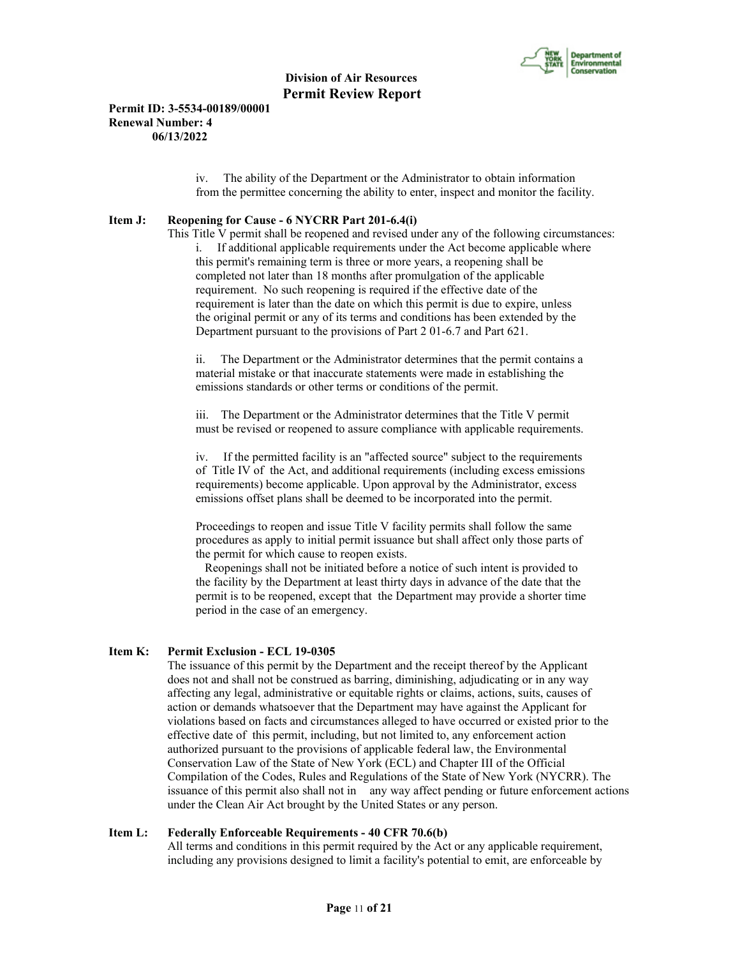

### **Permit ID: 3-5534-00189/00001 Renewal Number: 4 06/13/2022**

iv. The ability of the Department or the Administrator to obtain information from the permittee concerning the ability to enter, inspect and monitor the facility.

#### **Item J: Reopening for Cause - 6 NYCRR Part 201-6.4(i)**

 This Title V permit shall be reopened and revised under any of the following circumstances: i. If additional applicable requirements under the Act become applicable where this permit's remaining term is three or more years, a reopening shall be completed not later than 18 months after promulgation of the applicable requirement. No such reopening is required if the effective date of the requirement is later than the date on which this permit is due to expire, unless the original permit or any of its terms and conditions has been extended by the Department pursuant to the provisions of Part 2 01-6.7 and Part 621.

ii. The Department or the Administrator determines that the permit contains a material mistake or that inaccurate statements were made in establishing the emissions standards or other terms or conditions of the permit.

iii. The Department or the Administrator determines that the Title V permit must be revised or reopened to assure compliance with applicable requirements.

iv. If the permitted facility is an "affected source" subject to the requirements of Title IV of the Act, and additional requirements (including excess emissions requirements) become applicable. Upon approval by the Administrator, excess emissions offset plans shall be deemed to be incorporated into the permit.

Proceedings to reopen and issue Title V facility permits shall follow the same procedures as apply to initial permit issuance but shall affect only those parts of the permit for which cause to reopen exists.

 Reopenings shall not be initiated before a notice of such intent is provided to the facility by the Department at least thirty days in advance of the date that the permit is to be reopened, except that the Department may provide a shorter time period in the case of an emergency.

# **Item K: Permit Exclusion - ECL 19-0305**

 The issuance of this permit by the Department and the receipt thereof by the Applicant does not and shall not be construed as barring, diminishing, adjudicating or in any way affecting any legal, administrative or equitable rights or claims, actions, suits, causes of action or demands whatsoever that the Department may have against the Applicant for violations based on facts and circumstances alleged to have occurred or existed prior to the effective date of this permit, including, but not limited to, any enforcement action authorized pursuant to the provisions of applicable federal law, the Environmental Conservation Law of the State of New York (ECL) and Chapter III of the Official Compilation of the Codes, Rules and Regulations of the State of New York (NYCRR). The issuance of this permit also shall not in any way affect pending or future enforcement actions under the Clean Air Act brought by the United States or any person.

#### **Item L: Federally Enforceable Requirements - 40 CFR 70.6(b)**

 All terms and conditions in this permit required by the Act or any applicable requirement, including any provisions designed to limit a facility's potential to emit, are enforceable by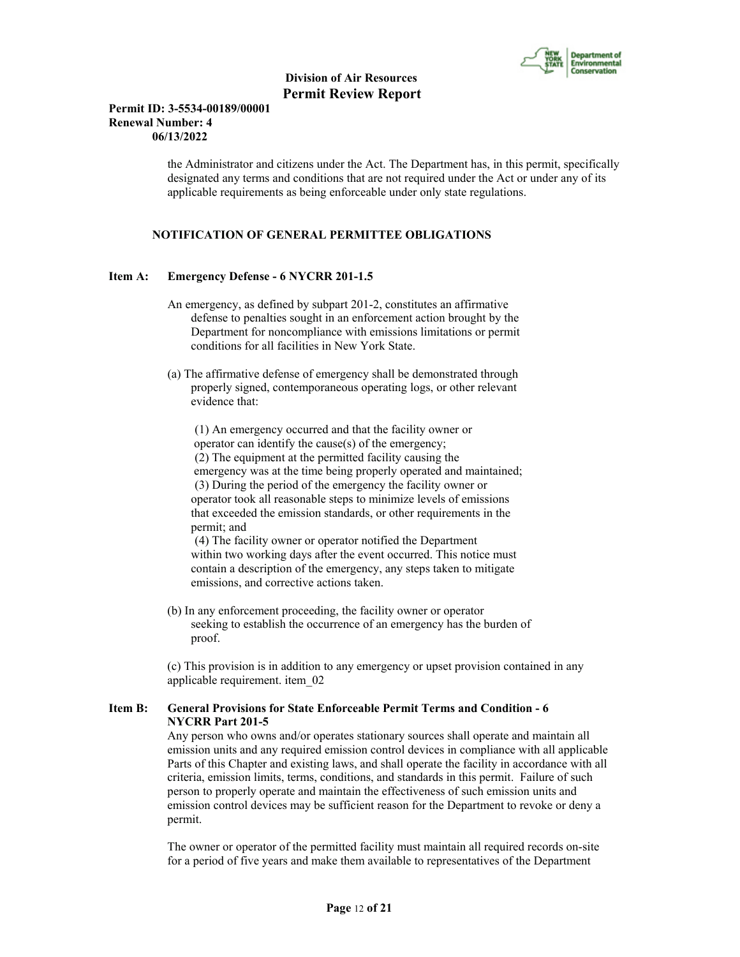

### **Permit ID: 3-5534-00189/00001 Renewal Number: 4 06/13/2022**

 the Administrator and citizens under the Act. The Department has, in this permit, specifically designated any terms and conditions that are not required under the Act or under any of its applicable requirements as being enforceable under only state regulations.

# **NOTIFICATION OF GENERAL PERMITTEE OBLIGATIONS**

#### **Item A: Emergency Defense - 6 NYCRR 201-1.5**

- An emergency, as defined by subpart 201-2, constitutes an affirmative defense to penalties sought in an enforcement action brought by the Department for noncompliance with emissions limitations or permit conditions for all facilities in New York State.
- (a) The affirmative defense of emergency shall be demonstrated through properly signed, contemporaneous operating logs, or other relevant evidence that:

 (1) An emergency occurred and that the facility owner or operator can identify the cause(s) of the emergency; (2) The equipment at the permitted facility causing the emergency was at the time being properly operated and maintained; (3) During the period of the emergency the facility owner or operator took all reasonable steps to minimize levels of emissions that exceeded the emission standards, or other requirements in the permit; and

 (4) The facility owner or operator notified the Department within two working days after the event occurred. This notice must contain a description of the emergency, any steps taken to mitigate emissions, and corrective actions taken.

 (b) In any enforcement proceeding, the facility owner or operator seeking to establish the occurrence of an emergency has the burden of proof.

 (c) This provision is in addition to any emergency or upset provision contained in any applicable requirement. item\_02

#### **Item B: General Provisions for State Enforceable Permit Terms and Condition - 6 NYCRR Part 201-5**

 Any person who owns and/or operates stationary sources shall operate and maintain all emission units and any required emission control devices in compliance with all applicable Parts of this Chapter and existing laws, and shall operate the facility in accordance with all criteria, emission limits, terms, conditions, and standards in this permit. Failure of such person to properly operate and maintain the effectiveness of such emission units and emission control devices may be sufficient reason for the Department to revoke or deny a permit.

 The owner or operator of the permitted facility must maintain all required records on-site for a period of five years and make them available to representatives of the Department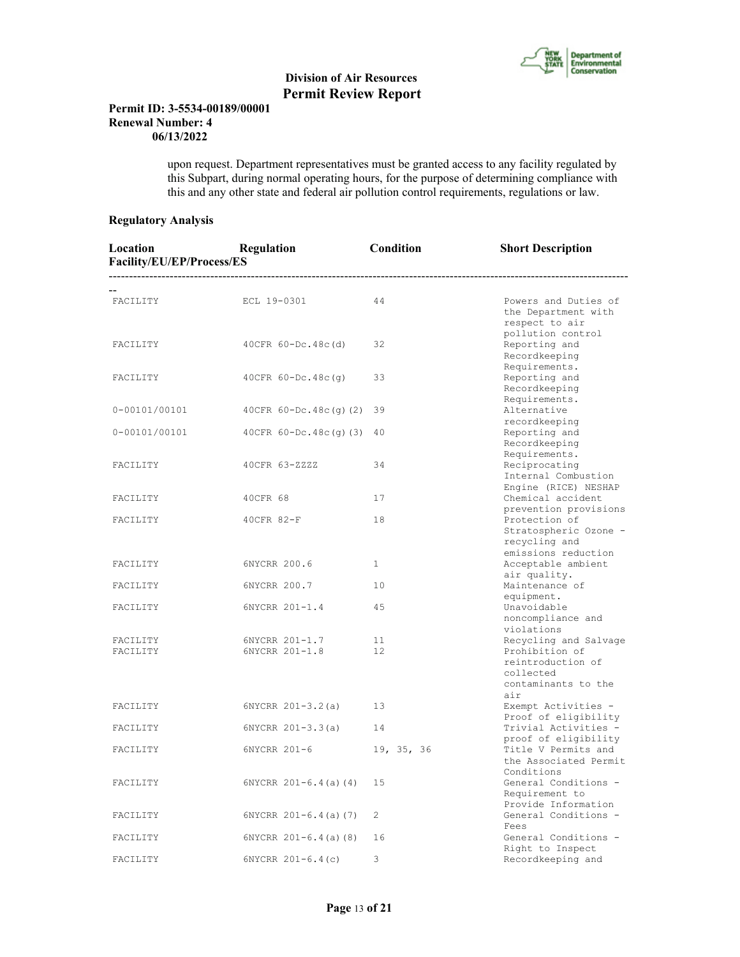

### **Permit ID: 3-5534-00189/00001 Renewal Number: 4 06/13/2022**

 upon request. Department representatives must be granted access to any facility regulated by this Subpart, during normal operating hours, for the purpose of determining compliance with this and any other state and federal air pollution control requirements, regulations or law.

# **Regulatory Analysis**

| Location<br>Facility/EU/EP/Process/ES | Regulation                       | Condition    | <b>Short Description</b>                                                                                |
|---------------------------------------|----------------------------------|--------------|---------------------------------------------------------------------------------------------------------|
| FACILITY                              | ECL 19-0301                      | 44           | Powers and Duties of<br>the Department with<br>respect to air                                           |
| FACILITY                              | $40CFR 60-Dc.48c(d)$             | 32           | pollution control<br>Reporting and<br>Recordkeeping                                                     |
| FACILITY                              | $40CFR 60-Dc.48c(q)$             | 33           | Requirements.<br>Reporting and<br>Recordkeeping                                                         |
| 0-00101/00101                         | 40CFR 60-Dc.48c(g)(2) 39         |              | Requirements.<br>Alternative<br>recordkeeping                                                           |
| $0 - 00101/00101$                     | 40CFR $60-Dc.48c(q)$ (3) 40      |              | Reporting and<br>Recordkeeping                                                                          |
| FACILITY                              | 40CFR 63-ZZZZ                    | 34           | Requirements.<br>Reciprocating<br>Internal Combustion<br>Engine (RICE) NESHAP                           |
| FACILITY                              | 40CFR 68                         | 17           | Chemical accident                                                                                       |
| FACILITY                              | 40CFR 82-F                       | 18           | prevention provisions<br>Protection of<br>Stratospheric Ozone -<br>recycling and<br>emissions reduction |
| FACILITY                              | 6NYCRR 200.6                     | $\mathbf{1}$ | Acceptable ambient<br>air quality.                                                                      |
| FACILITY                              | 6NYCRR 200.7                     | 10           | Maintenance of<br>equipment.                                                                            |
| FACILITY                              | 6NYCRR 201-1.4                   | 45           | Unavoidable<br>noncompliance and<br>violations                                                          |
| FACILITY<br>FACILITY                  | 6NYCRR 201-1.7<br>6NYCRR 201-1.8 | 11<br>12     | Recycling and Salvage<br>Prohibition of<br>reintroduction of<br>collected<br>contaminants to the<br>air |
| FACILITY                              | 6NYCRR 201-3.2(a)                | 13           | Exempt Activities -<br>Proof of eligibility                                                             |
| FACILITY                              | $6NYCRR 201-3.3(a)$              | 14           | Trivial Activities -                                                                                    |
| FACILITY                              | 6NYCRR 201-6                     | 19, 35, 36   | proof of eligibility<br>Title V Permits and<br>the Associated Permit<br>Conditions                      |
| FACILITY                              | $6NYCRR$ $201-6.4$ (a) (4)       | 15           | General Conditions -<br>Requirement to<br>Provide Information                                           |
| FACILITY                              | $6NYCRR 201-6.4(a) (7)$          | 2            | General Conditions -<br>Fees                                                                            |
| FACILITY                              | $6NYCRR 201-6.4(a) (8)$          | 16           | General Conditions -                                                                                    |
| FACILITY                              | $6NYCRR 201-6.4(c)$              | 3            | Right to Inspect<br>Recordkeeping and                                                                   |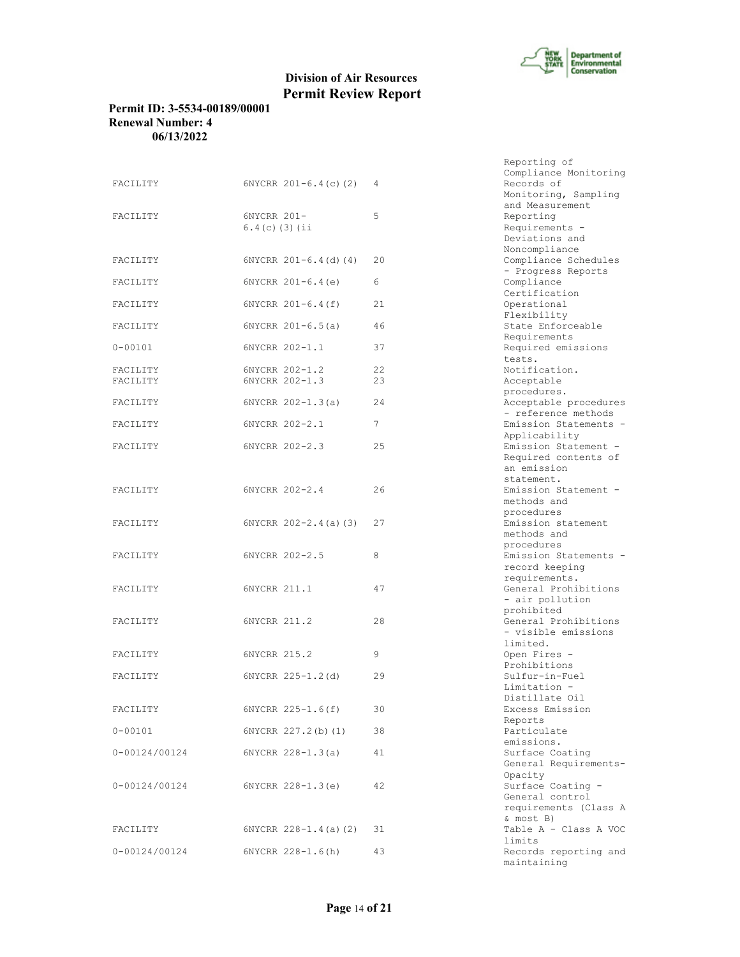

# **Permit ID: 3-5534-00189/00001 Renewal Number: 4 06/13/2022**

| FACILITY      |                            |    | compliance nonrecorning |
|---------------|----------------------------|----|-------------------------|
|               | $6NYCRR$ $201-6.4(c)$ (2)  | 4  | Records of              |
|               |                            |    | Monitoring, Sampling    |
|               |                            |    | and Measurement         |
| FACILITY      | 6NYCRR 201-                | 5  | Reporting               |
|               | $6.4(c)$ (3) (ii           |    | Requirements -          |
|               |                            |    | Deviations and          |
|               |                            |    | Noncompliance           |
| FACILITY      | $6NYCRR 201-6.4(d) (4)$    | 20 | Compliance Schedules    |
|               |                            |    | - Progress Reports      |
| FACILITY      | $6NYCRR 201-6.4(e)$        | 6  | Compliance              |
|               |                            |    | Certification           |
| FACILITY      | $6NYCRR 201-6.4(f)$        | 21 | Operational             |
|               |                            |    | Flexibility             |
| FACILITY      | $6NYCRR 201-6.5(a)$        | 46 | State Enforceable       |
|               |                            |    | Requirements            |
| $0 - 00101$   | 6NYCRR 202-1.1             | 37 | Required emissions      |
|               |                            |    | tests.                  |
| FACILITY      | 6NYCRR 202-1.2             | 22 | Notification.           |
| FACILITY      | 6NYCRR 202-1.3             | 23 | Acceptable              |
|               |                            |    | procedures.             |
| FACILITY      | $6NYCRR 202-1.3(a)$        | 24 | Acceptable procedures   |
|               |                            |    | - reference methods     |
| FACILITY      | 6NYCRR 202-2.1             | 7  | Emission Statements -   |
|               |                            |    | Applicability           |
|               |                            |    | Emission Statement -    |
| FACILITY      | 6NYCRR 202-2.3             | 25 |                         |
|               |                            |    | Required contents of    |
|               |                            |    | an emission             |
|               |                            |    | statement.              |
| FACILITY      | 6NYCRR 202-2.4             | 26 | Emission Statement -    |
|               |                            |    | methods and             |
|               |                            |    | procedures              |
| FACILITY      | $6NYCRR$ $202-2.4$ (a) (3) | 27 | Emission statement      |
|               |                            |    | methods and             |
|               |                            |    | procedures              |
| FACILITY      | 6NYCRR 202-2.5             | 8  | Emission Statements -   |
|               |                            |    | record keeping          |
|               |                            |    | requirements.           |
| FACILITY      | 6NYCRR 211.1               | 47 | General Prohibitions    |
|               |                            |    | - air pollution         |
|               |                            |    | prohibited              |
| FACILITY      | 6NYCRR 211.2               | 28 | General Prohibitions    |
|               |                            |    | - visible emissions     |
|               |                            |    | limited.                |
| FACILITY      | 6NYCRR 215.2               | 9  | Open Fires -            |
|               |                            |    | Prohibitions            |
| FACILITY      | 6NYCRR 225-1.2(d)          | 29 | Sulfur-in-Fuel          |
|               |                            |    | Limitation -            |
|               |                            |    | Distillate Oil          |
| FACILITY      | 6NYCRR 225-1.6(f)          | 30 | Excess Emission         |
|               |                            |    | Reports                 |
| $0 - 00101$   | 6NYCRR 227.2(b)(1)         | 38 | Particulate             |
|               |                            |    | emissions.              |
| 0-00124/00124 | $6NYCRR 228-1.3(a)$        | 41 | Surface Coating         |
|               |                            |    | General Requirements-   |
|               |                            |    | Opacity                 |
|               |                            |    | Surface Coating -       |
| 0-00124/00124 | $6NYCRR$ $228-1.3(e)$      | 42 | General control         |
|               |                            |    |                         |
|               |                            |    | requirements (Class A   |
|               |                            |    | & most B)               |
| FACILITY      | $6NYCRR 228-1.4(a) (2)$    | 31 | Table A - Class A VOC   |
|               |                            |    | limits                  |
| 0-00124/00124 | 6NYCRR 228-1.6(h)          | 43 | Records reporting and   |

|    | Reporting of                  |
|----|-------------------------------|
|    | Compliance Monitoring         |
| 4  | Records of                    |
|    | Monitoring, Sampling          |
|    | and Measurement               |
| 5  | Reporting                     |
|    | Requirements -                |
|    | Deviations and                |
|    | Noncompliance                 |
| 20 | Compliance Schedules          |
|    | - Progress Reports            |
| 6  | Compliance                    |
|    | Certification                 |
| 21 | Operational                   |
|    | Flexibility                   |
| 46 | State Enforceable             |
|    | Requirements                  |
| 37 | Required emissions            |
|    | tests.                        |
| 22 | Notification.                 |
| 23 | Acceptable                    |
|    | procedures.                   |
| 24 | Acceptable procedures         |
|    | - reference methods           |
| 7  | Emission Statements -         |
|    | Applicability                 |
| 25 | Emission Statement -          |
|    | Required contents of          |
|    | an emission                   |
|    | statement.                    |
| 26 | Emission Statement -          |
|    | methods and                   |
|    | procedures                    |
| 27 | Emission statement            |
|    | methods and                   |
|    | procedures                    |
| 8  | Emission Statements -         |
|    | record keeping                |
|    | requirements.                 |
| 47 | General Prohibitions          |
|    | - air pollution<br>prohibited |
| 28 | General Prohibitions          |
|    | - visible emissions           |
|    | limited.                      |
| 9  | Open Fires -                  |
|    | Prohibitions                  |
| 29 | Sulfur-in-Fuel                |
|    | Limitation -                  |
|    | Distillate Oil                |
| 30 | Excess Emission               |
|    | Reports                       |
| 38 | Particulate                   |
|    | emissions.                    |
| 41 | Surface Coating               |
|    | General Requirements-         |
|    | Opacity                       |
| 42 | Surface Coating -             |
|    | General control               |
|    | requirements (Class A         |
|    | & most B)                     |
| 31 | Table A - Class A VOC         |
|    | limits                        |
| 43 | Records reporting and         |
|    | maintaining                   |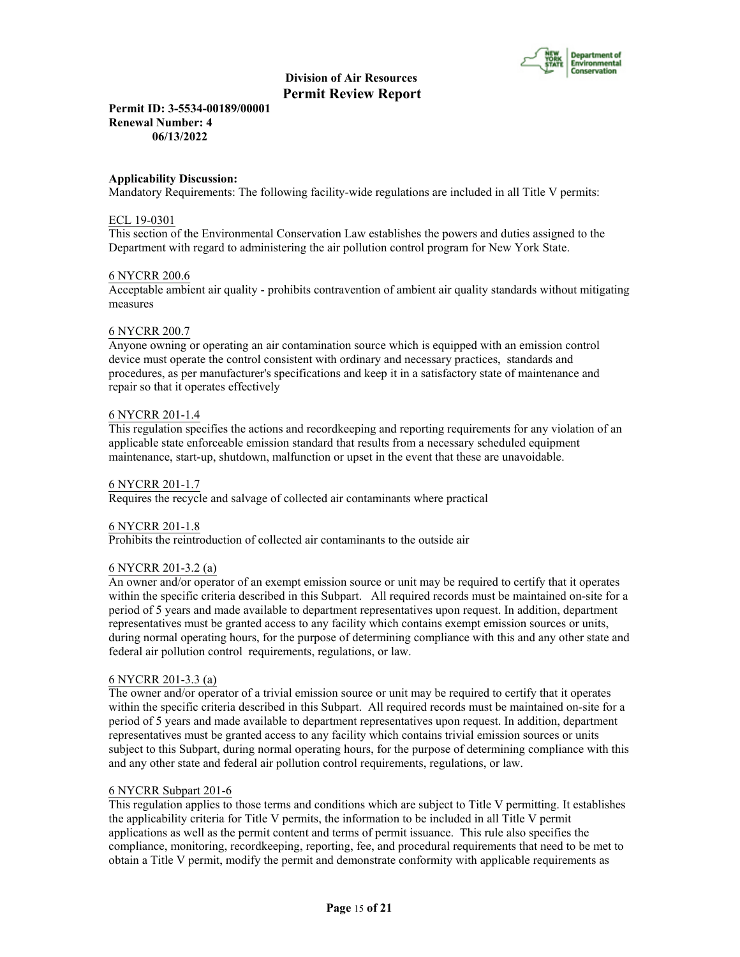

**Permit ID: 3-5534-00189/00001 Renewal Number: 4 06/13/2022**

#### **Applicability Discussion:**

Mandatory Requirements: The following facility-wide regulations are included in all Title V permits:

#### ECL 19-0301

This section of the Environmental Conservation Law establishes the powers and duties assigned to the Department with regard to administering the air pollution control program for New York State.

# 6 NYCRR 200.6

Acceptable ambient air quality - prohibits contravention of ambient air quality standards without mitigating measures

#### 6 NYCRR 200.7

Anyone owning or operating an air contamination source which is equipped with an emission control device must operate the control consistent with ordinary and necessary practices, standards and procedures, as per manufacturer's specifications and keep it in a satisfactory state of maintenance and repair so that it operates effectively

# 6 NYCRR 201-1.4

This regulation specifies the actions and recordkeeping and reporting requirements for any violation of an applicable state enforceable emission standard that results from a necessary scheduled equipment maintenance, start-up, shutdown, malfunction or upset in the event that these are unavoidable.

#### 6 NYCRR 201-1.7

Requires the recycle and salvage of collected air contaminants where practical

#### 6 NYCRR 201-1.8

Prohibits the reintroduction of collected air contaminants to the outside air

#### 6 NYCRR 201-3.2 (a)

An owner and/or operator of an exempt emission source or unit may be required to certify that it operates within the specific criteria described in this Subpart. All required records must be maintained on-site for a period of 5 years and made available to department representatives upon request. In addition, department representatives must be granted access to any facility which contains exempt emission sources or units, during normal operating hours, for the purpose of determining compliance with this and any other state and federal air pollution control requirements, regulations, or law.

#### 6 NYCRR 201-3.3 (a)

The owner and/or operator of a trivial emission source or unit may be required to certify that it operates within the specific criteria described in this Subpart. All required records must be maintained on-site for a period of 5 years and made available to department representatives upon request. In addition, department representatives must be granted access to any facility which contains trivial emission sources or units subject to this Subpart, during normal operating hours, for the purpose of determining compliance with this and any other state and federal air pollution control requirements, regulations, or law.

#### 6 NYCRR Subpart 201-6

This regulation applies to those terms and conditions which are subject to Title V permitting. It establishes the applicability criteria for Title V permits, the information to be included in all Title V permit applications as well as the permit content and terms of permit issuance. This rule also specifies the compliance, monitoring, recordkeeping, reporting, fee, and procedural requirements that need to be met to obtain a Title V permit, modify the permit and demonstrate conformity with applicable requirements as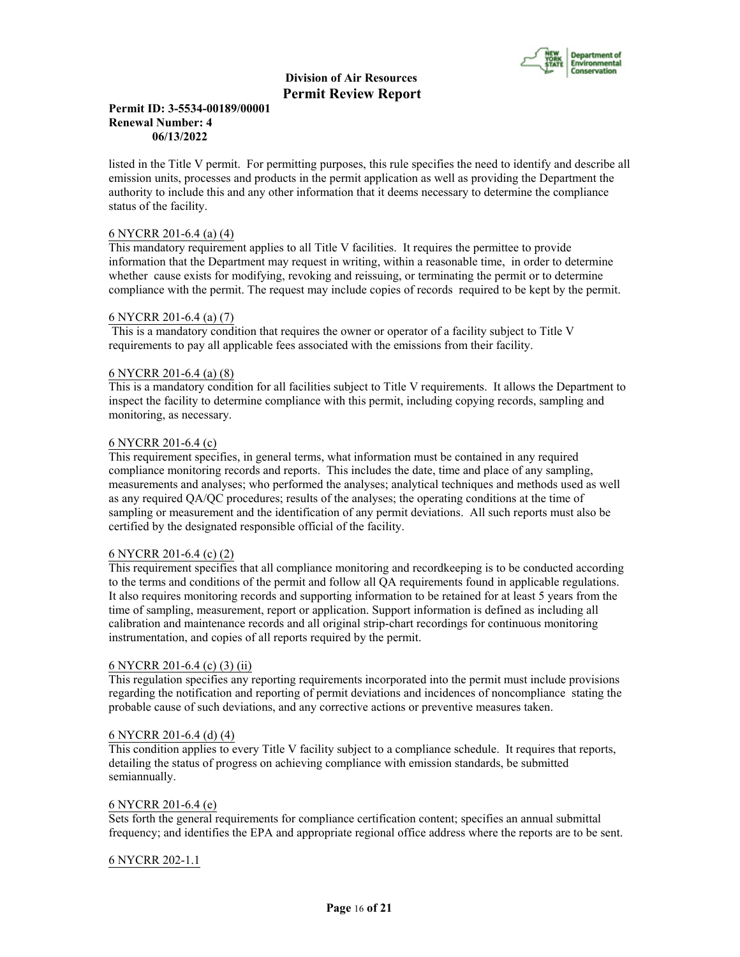

# **Permit ID: 3-5534-00189/00001 Renewal Number: 4 06/13/2022**

listed in the Title V permit. For permitting purposes, this rule specifies the need to identify and describe all emission units, processes and products in the permit application as well as providing the Department the authority to include this and any other information that it deems necessary to determine the compliance status of the facility.

# 6 NYCRR 201-6.4 (a) (4)

This mandatory requirement applies to all Title V facilities. It requires the permittee to provide information that the Department may request in writing, within a reasonable time, in order to determine whether cause exists for modifying, revoking and reissuing, or terminating the permit or to determine compliance with the permit. The request may include copies of records required to be kept by the permit.

#### 6 NYCRR 201-6.4 (a) (7)

 This is a mandatory condition that requires the owner or operator of a facility subject to Title V requirements to pay all applicable fees associated with the emissions from their facility.

#### 6 NYCRR 201-6.4 (a) (8)

This is a mandatory condition for all facilities subject to Title V requirements. It allows the Department to inspect the facility to determine compliance with this permit, including copying records, sampling and monitoring, as necessary.

#### 6 NYCRR 201-6.4 (c)

This requirement specifies, in general terms, what information must be contained in any required compliance monitoring records and reports. This includes the date, time and place of any sampling, measurements and analyses; who performed the analyses; analytical techniques and methods used as well as any required QA/QC procedures; results of the analyses; the operating conditions at the time of sampling or measurement and the identification of any permit deviations. All such reports must also be certified by the designated responsible official of the facility.

#### 6 NYCRR 201-6.4 (c) (2)

This requirement specifies that all compliance monitoring and recordkeeping is to be conducted according to the terms and conditions of the permit and follow all QA requirements found in applicable regulations. It also requires monitoring records and supporting information to be retained for at least 5 years from the time of sampling, measurement, report or application. Support information is defined as including all calibration and maintenance records and all original strip-chart recordings for continuous monitoring instrumentation, and copies of all reports required by the permit.

#### 6 NYCRR 201-6.4 (c) (3) (ii)

This regulation specifies any reporting requirements incorporated into the permit must include provisions regarding the notification and reporting of permit deviations and incidences of noncompliance stating the probable cause of such deviations, and any corrective actions or preventive measures taken.

#### 6 NYCRR 201-6.4 (d) (4)

This condition applies to every Title V facility subject to a compliance schedule. It requires that reports, detailing the status of progress on achieving compliance with emission standards, be submitted semiannually.

# 6 NYCRR 201-6.4 (e)

Sets forth the general requirements for compliance certification content; specifies an annual submittal frequency; and identifies the EPA and appropriate regional office address where the reports are to be sent.

#### 6 NYCRR 202-1.1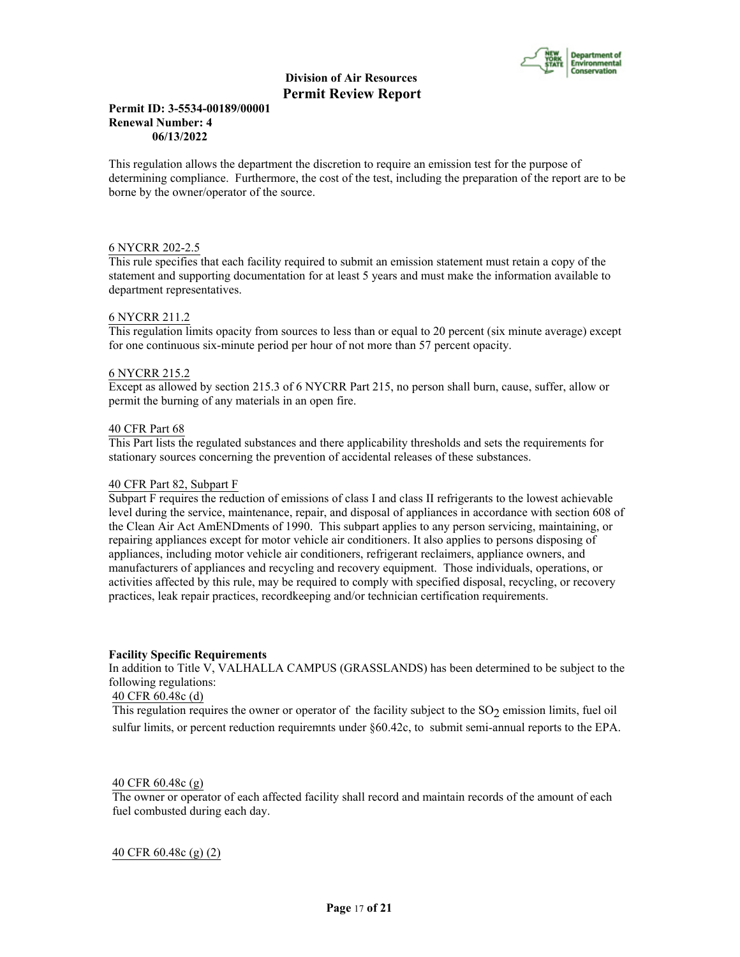

# **Permit ID: 3-5534-00189/00001 Renewal Number: 4 06/13/2022**

This regulation allows the department the discretion to require an emission test for the purpose of determining compliance. Furthermore, the cost of the test, including the preparation of the report are to be borne by the owner/operator of the source.

#### 6 NYCRR 202-2.5

This rule specifies that each facility required to submit an emission statement must retain a copy of the statement and supporting documentation for at least 5 years and must make the information available to department representatives.

#### 6 NYCRR 211.2

This regulation limits opacity from sources to less than or equal to 20 percent (six minute average) except for one continuous six-minute period per hour of not more than 57 percent opacity.

#### 6 NYCRR 215.2

Except as allowed by section 215.3 of 6 NYCRR Part 215, no person shall burn, cause, suffer, allow or permit the burning of any materials in an open fire.

#### 40 CFR Part 68

This Part lists the regulated substances and there applicability thresholds and sets the requirements for stationary sources concerning the prevention of accidental releases of these substances.

#### 40 CFR Part 82, Subpart F

Subpart F requires the reduction of emissions of class I and class II refrigerants to the lowest achievable level during the service, maintenance, repair, and disposal of appliances in accordance with section 608 of the Clean Air Act AmENDments of 1990. This subpart applies to any person servicing, maintaining, or repairing appliances except for motor vehicle air conditioners. It also applies to persons disposing of appliances, including motor vehicle air conditioners, refrigerant reclaimers, appliance owners, and manufacturers of appliances and recycling and recovery equipment. Those individuals, operations, or activities affected by this rule, may be required to comply with specified disposal, recycling, or recovery practices, leak repair practices, recordkeeping and/or technician certification requirements.

#### **Facility Specific Requirements**

In addition to Title V, VALHALLA CAMPUS (GRASSLANDS) has been determined to be subject to the following regulations:

#### 40 CFR 60.48c (d)

This regulation requires the owner or operator of the facility subject to the  $SO_2$  emission limits, fuel oil sulfur limits, or percent reduction requiremnts under §60.42c, to submit semi-annual reports to the EPA.

#### 40 CFR 60.48c (g)

The owner or operator of each affected facility shall record and maintain records of the amount of each fuel combusted during each day.

40 CFR 60.48c (g) (2)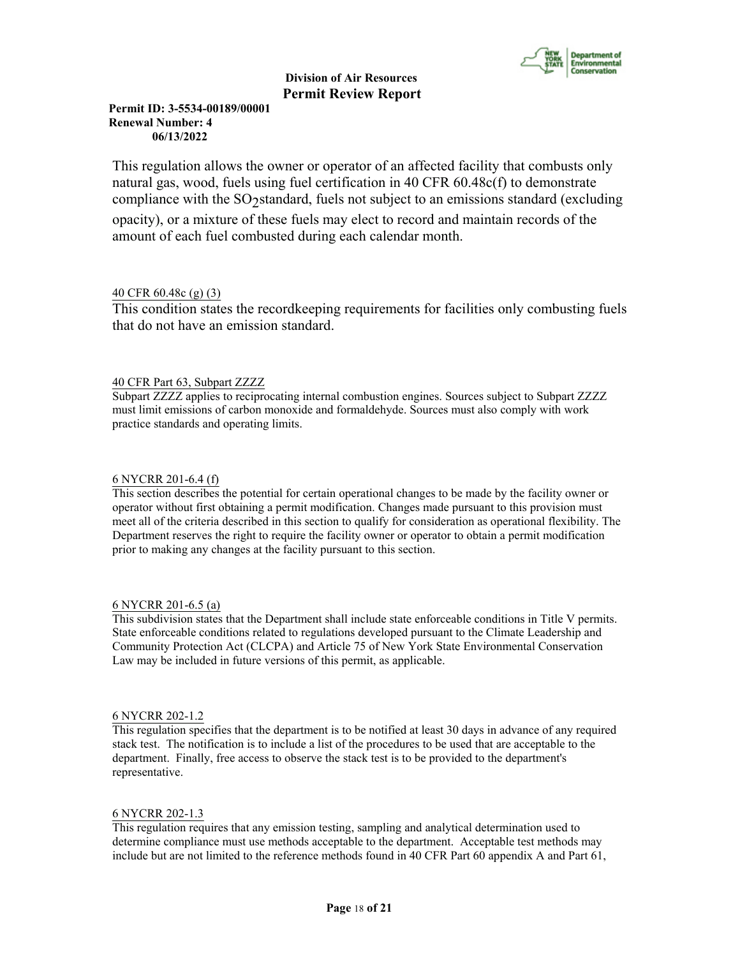

# **Permit ID: 3-5534-00189/00001 Renewal Number: 4 06/13/2022**

This regulation allows the owner or operator of an affected facility that combusts only natural gas, wood, fuels using fuel certification in 40 CFR 60.48c(f) to demonstrate compliance with the SO<sub>2</sub>standard, fuels not subject to an emissions standard (excluding opacity), or a mixture of these fuels may elect to record and maintain records of the amount of each fuel combusted during each calendar month.

# 40 CFR 60.48c (g) (3)

This condition states the recordkeeping requirements for facilities only combusting fuels that do not have an emission standard.

# 40 CFR Part 63, Subpart ZZZZ

Subpart ZZZZ applies to reciprocating internal combustion engines. Sources subject to Subpart ZZZZ must limit emissions of carbon monoxide and formaldehyde. Sources must also comply with work practice standards and operating limits.

# 6 NYCRR 201-6.4 (f)

This section describes the potential for certain operational changes to be made by the facility owner or operator without first obtaining a permit modification. Changes made pursuant to this provision must meet all of the criteria described in this section to qualify for consideration as operational flexibility. The Department reserves the right to require the facility owner or operator to obtain a permit modification prior to making any changes at the facility pursuant to this section.

# 6 NYCRR 201-6.5 (a)

This subdivision states that the Department shall include state enforceable conditions in Title V permits. State enforceable conditions related to regulations developed pursuant to the Climate Leadership and Community Protection Act (CLCPA) and Article 75 of New York State Environmental Conservation Law may be included in future versions of this permit, as applicable.

# 6 NYCRR 202-1.2

This regulation specifies that the department is to be notified at least 30 days in advance of any required stack test. The notification is to include a list of the procedures to be used that are acceptable to the department. Finally, free access to observe the stack test is to be provided to the department's representative.

# 6 NYCRR 202-1.3

This regulation requires that any emission testing, sampling and analytical determination used to determine compliance must use methods acceptable to the department. Acceptable test methods may include but are not limited to the reference methods found in 40 CFR Part 60 appendix A and Part 61,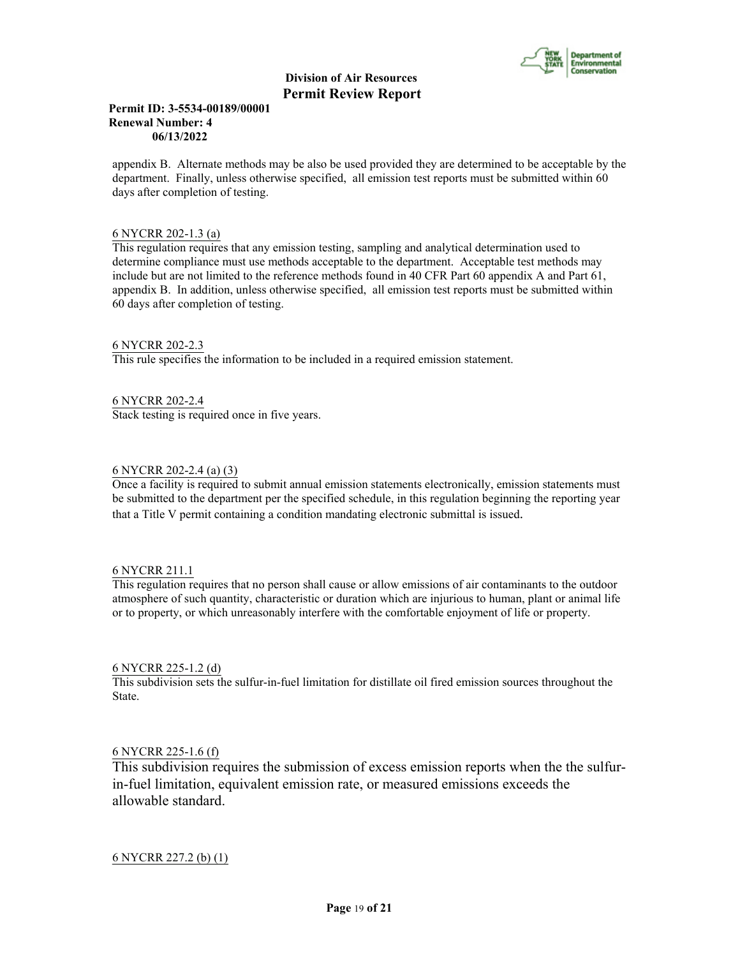

## **Permit ID: 3-5534-00189/00001 Renewal Number: 4 06/13/2022**

appendix B. Alternate methods may be also be used provided they are determined to be acceptable by the department. Finally, unless otherwise specified, all emission test reports must be submitted within 60 days after completion of testing.

# 6 NYCRR 202-1.3 (a)

This regulation requires that any emission testing, sampling and analytical determination used to determine compliance must use methods acceptable to the department. Acceptable test methods may include but are not limited to the reference methods found in 40 CFR Part 60 appendix A and Part 61, appendix B. In addition, unless otherwise specified, all emission test reports must be submitted within 60 days after completion of testing.

#### 6 NYCRR 202-2.3

This rule specifies the information to be included in a required emission statement.

6 NYCRR 202-2.4 Stack testing is required once in five years.

# 6 NYCRR 202-2.4 (a) (3)

Once a facility is required to submit annual emission statements electronically, emission statements must be submitted to the department per the specified schedule, in this regulation beginning the reporting year that a Title V permit containing a condition mandating electronic submittal is issued.

#### 6 NYCRR 211.1

This regulation requires that no person shall cause or allow emissions of air contaminants to the outdoor atmosphere of such quantity, characteristic or duration which are injurious to human, plant or animal life or to property, or which unreasonably interfere with the comfortable enjoyment of life or property.

#### 6 NYCRR 225-1.2 (d)

This subdivision sets the sulfur-in-fuel limitation for distillate oil fired emission sources throughout the State.

# 6 NYCRR 225-1.6 (f)

This subdivision requires the submission of excess emission reports when the the sulfurin-fuel limitation, equivalent emission rate, or measured emissions exceeds the allowable standard.

# 6 NYCRR 227.2 (b) (1)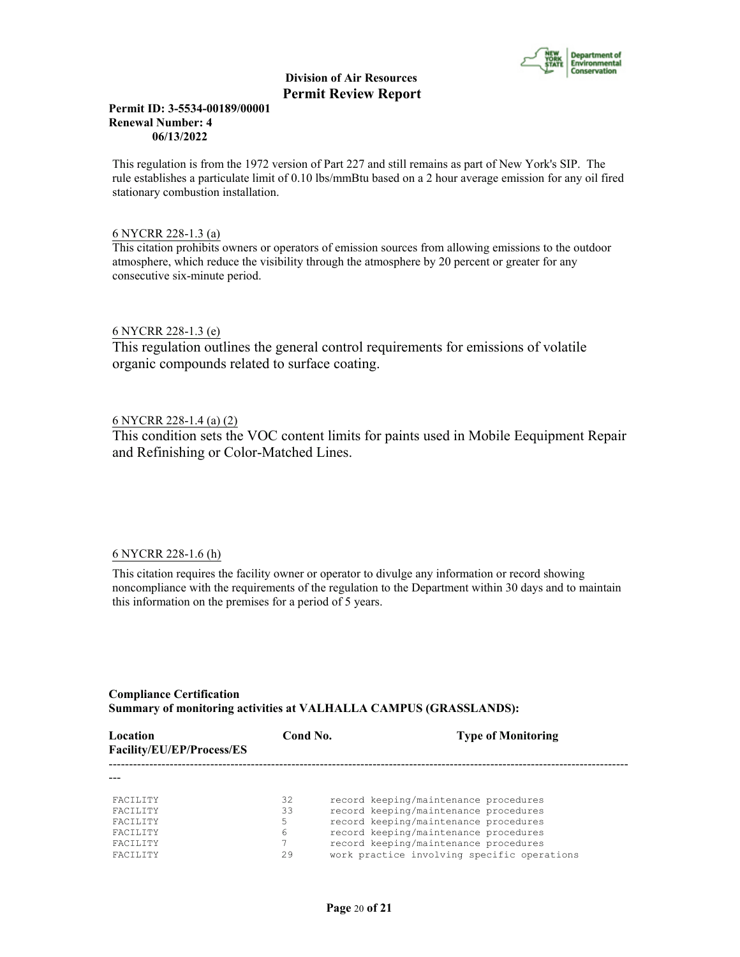

## **Permit ID: 3-5534-00189/00001 Renewal Number: 4 06/13/2022**

This regulation is from the 1972 version of Part 227 and still remains as part of New York's SIP. The rule establishes a particulate limit of 0.10 lbs/mmBtu based on a 2 hour average emission for any oil fired stationary combustion installation.

# 6 NYCRR 228-1.3 (a)

This citation prohibits owners or operators of emission sources from allowing emissions to the outdoor atmosphere, which reduce the visibility through the atmosphere by 20 percent or greater for any consecutive six-minute period.

# 6 NYCRR 228-1.3 (e)

This regulation outlines the general control requirements for emissions of volatile organic compounds related to surface coating.

# 6 NYCRR 228-1.4 (a) (2)

This condition sets the VOC content limits for paints used in Mobile Eequipment Repair and Refinishing or Color-Matched Lines.

# 6 NYCRR 228-1.6 (h)

This citation requires the facility owner or operator to divulge any information or record showing noncompliance with the requirements of the regulation to the Department within 30 days and to maintain this information on the premises for a period of 5 years.

# **Compliance Certification Summary of monitoring activities at VALHALLA CAMPUS (GRASSLANDS):**

| Location<br>Facility/EU/EP/Process/ES | Cond No. | <b>Type of Monitoring</b>                   |
|---------------------------------------|----------|---------------------------------------------|
|                                       |          |                                             |
| <b>FACTLITY</b>                       | 32       | record keeping/maintenance procedures       |
| <b>FACTLITY</b>                       | 33       | record keeping/maintenance procedures       |
| <b>FACTLITY</b>                       | 5        | record keeping/maintenance procedures       |
| <b>FACTLITY</b>                       | 6        | record keeping/maintenance procedures       |
| <b>FACTLITY</b>                       |          | record keeping/maintenance procedures       |
| <b>FACTLITY</b>                       | 29       | work practice involving specific operations |